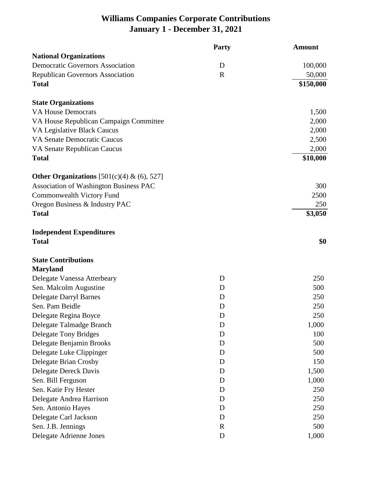## **Williams Companies Corporate Contributions January 1 - December 31, 2021**

|                                               | <b>Party</b> | <b>Amount</b> |
|-----------------------------------------------|--------------|---------------|
| <b>National Organizations</b>                 |              |               |
| <b>Democratic Governors Association</b>       | D            | 100,000       |
| <b>Republican Governors Association</b>       | $\mathbf R$  | 50,000        |
| <b>Total</b>                                  |              | \$150,000     |
| <b>State Organizations</b>                    |              |               |
| <b>VA House Democrats</b>                     |              | 1,500         |
| VA House Republican Campaign Committee        |              | 2,000         |
| VA Legislative Black Caucus                   |              | 2,000         |
| VA Senate Democratic Caucus                   |              | 2,500         |
| VA Senate Republican Caucus                   |              | 2,000         |
| <b>Total</b>                                  |              | \$10,000      |
| Other Organizations [501(c)(4) & (6), 527]    |              |               |
| <b>Association of Washington Business PAC</b> |              | 300           |
| Commonwealth Victory Fund                     |              | 2500          |
| Oregon Business & Industry PAC                |              | 250           |
| <b>Total</b>                                  |              | \$3,050       |
| <b>Independent Expenditures</b>               |              |               |
| <b>Total</b>                                  |              | \$0           |
| <b>State Contributions</b>                    |              |               |
| <b>Maryland</b>                               |              |               |
| Delegate Vanessa Atterbeary                   | D            | 250           |
| Sen. Malcolm Augustine                        | D            | 500           |
| <b>Delegate Darryl Barnes</b>                 | D            | 250           |
| Sen. Pam Beidle                               | D            | 250           |
| Delegate Regina Boyce                         | D            | 250           |
| Delegate Talmadge Branch                      | D            | 1,000         |
| <b>Delegate Tony Bridges</b>                  | D            | 100           |
| Delegate Benjamin Brooks                      | D            | 500           |
| Delegate Luke Clippinger                      | D            | 500           |
| Delegate Brian Crosby                         | D            | 150           |
| Delegate Dereck Davis                         | D            | 1,500         |
| Sen. Bill Ferguson                            | D            | 1,000         |
| Sen. Katie Fry Hester                         | D            | 250           |
| Delegate Andrea Harrison                      | D            | 250           |
| Sen. Antonio Hayes                            | D            | 250           |
| Delegate Carl Jackson                         | D            | 250           |
| Sen. J.B. Jennings                            | $\mathbf R$  | 500           |
| Delegate Adrienne Jones                       | $\mathbf D$  | 1,000         |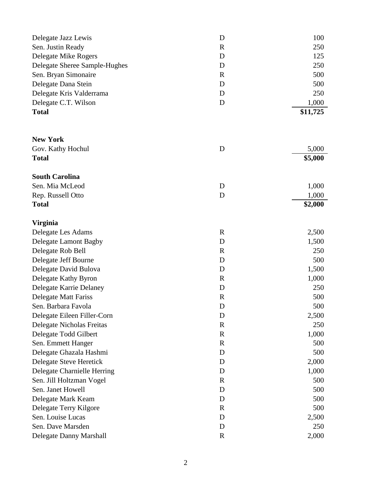| Delegate Jazz Lewis<br>Sen. Justin Ready | D<br>$\mathbf R$ | 100<br>250 |
|------------------------------------------|------------------|------------|
|                                          |                  |            |
| Delegate Sheree Sample-Hughes            | D                | 250        |
| Sen. Bryan Simonaire                     | $\mathbf R$      | 500        |
| Delegate Dana Stein                      | D                | 500        |
| Delegate Kris Valderrama                 | D                | 250        |
| Delegate C.T. Wilson                     | D                | 1,000      |
| <b>Total</b>                             |                  | \$11,725   |
| <b>New York</b>                          |                  |            |
| Gov. Kathy Hochul                        | D                | 5,000      |
| <b>Total</b>                             |                  | \$5,000    |
|                                          |                  |            |
| <b>South Carolina</b>                    |                  |            |
| Sen. Mia McLeod                          | D                | 1,000      |
| Rep. Russell Otto                        | D                | 1,000      |
| <b>Total</b>                             |                  | \$2,000    |
| <b>Virginia</b>                          |                  |            |
| Delegate Les Adams                       | $\mathbf R$      | 2,500      |
| Delegate Lamont Bagby                    | D                | 1,500      |
| Delegate Rob Bell                        | $\mathbf R$      | 250        |
| Delegate Jeff Bourne                     | D                | 500        |
| Delegate David Bulova                    | D                | 1,500      |
| Delegate Kathy Byron                     | $\mathbf R$      | 1,000      |
| Delegate Karrie Delaney                  | D                | 250        |
| <b>Delegate Matt Fariss</b>              | $\mathbf R$      | 500        |
| Sen. Barbara Favola                      | ${\rm D}$        | 500        |
| Delegate Eileen Filler-Corn              | D                | 2,500      |
| Delegate Nicholas Freitas                | $\mathbf R$      | 250        |
| Delegate Todd Gilbert                    | $\mathbf R$      | 1,000      |
| Sen. Emmett Hanger                       | $\mathbf R$      | 500        |
| Delegate Ghazala Hashmi                  | D                | 500        |
| Delegate Steve Heretick                  | D                | 2,000      |
| Delegate Charnielle Herring              | D                | 1,000      |
| Sen. Jill Holtzman Vogel                 | $\mathbf R$      | 500        |
| Sen. Janet Howell                        | D                | 500        |
| Delegate Mark Keam                       | D                | 500        |
| Delegate Terry Kilgore                   | $\mathbf R$      | 500        |
| Sen. Louise Lucas                        | D                | 2,500      |
| Sen. Dave Marsden                        | D                | 250        |
| Delegate Danny Marshall                  | $\mathbf R$      | 2,000      |